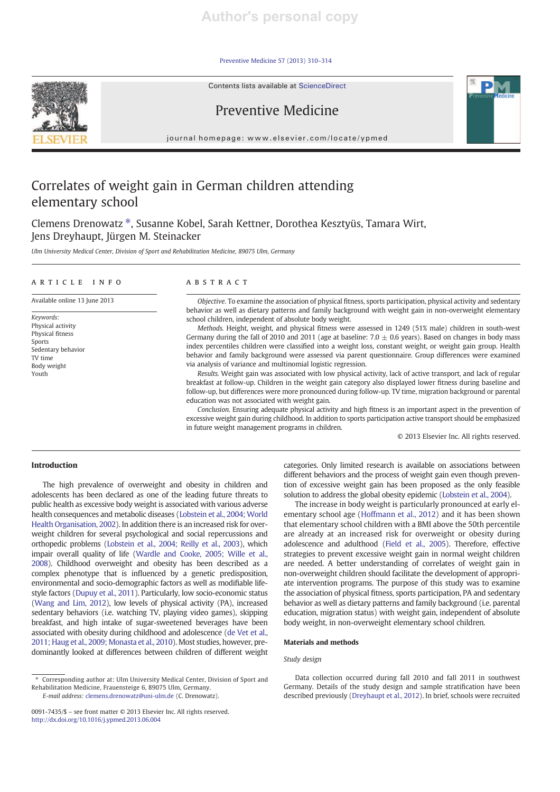Preventive Medicine 57 (2013) 310–314

Contents lists available at ScienceDirect



## Preventive Medicine

journal homepage: www.elsevier.com/locate/ypmed

## Correlates of weight gain in German children attending elementary school

Clemens Drenowatz ⁎, Susanne Kobel, Sarah Kettner, Dorothea Kesztyüs, Tamara Wirt, Jens Dreyhaupt, Jürgen M. Steinacker

*Ulm University Medical Center, Division of Sport and Rehabilitation Medicine, 89075 Ulm, Germany*

#### A R T I C L E I N F O A B S T R A C T

Available online 13 June 2013

*Keywords:* Physical activity Physical fitness Sports Sedentary behavior TV time Body weight Youth

*Objective.* To examine the association of physical fitness, sports participation, physical activity and sedentary behavior as well as dietary patterns and family background with weight gain in non-overweight elementary school children, independent of absolute body weight.

*Methods.* Height, weight, and physical fitness were assessed in 1249 (51% male) children in south-west Germany during the fall of 2010 and 2011 (age at baseline:  $7.0 \pm 0.6$  years). Based on changes in body mass index percentiles children were classified into a weight loss, constant weight, or weight gain group. Health behavior and family background were assessed via parent questionnaire. Group differences were examined via analysis of variance and multinomial logistic regression.

*Results.* Weight gain was associated with low physical activity, lack of active transport, and lack of regular breakfast at follow-up. Children in the weight gain category also displayed lower fitness during baseline and follow-up, but differences were more pronounced during follow-up. TV time, migration background or parental education was not associated with weight gain.

*Conclusion.* Ensuring adequate physical activity and high fitness is an important aspect in the prevention of excessive weight gain during childhood. In addition to sports participation active transport should be emphasized in future weight management programs in children.

© 2013 Elsevier Inc. All rights reserved.

#### Introduction

The high prevalence of overweight and obesity in children and adolescents has been declared as one of the leading future threats to public health as excessive body weight is associated with various adverse health consequences and metabolic diseases (Lobstein et al., 2004; World Health Organisation, 2002). In addition there is an increased risk for overweight children for several psychological and social repercussions and orthopedic problems (Lobstein et al., 2004; Reilly et al., 2003), which impair overall quality of life (Wardle and Cooke, 2005; Wille et al., 2008). Childhood overweight and obesity has been described as a complex phenotype that is influenced by a genetic predisposition, environmental and socio-demographic factors as well as modifiable lifestyle factors (Dupuy et al., 2011). Particularly, low socio-economic status (Wang and Lim, 2012), low levels of physical activity (PA), increased sedentary behaviors (i.e. watching TV, playing video games), skipping breakfast, and high intake of sugar-sweetened beverages have been associated with obesity during childhood and adolescence (de Vet et al., 2011; Haug et al., 2009; Monasta et al., 2010). Most studies, however, predominantly looked at differences between children of different weight

⁎ Corresponding author at: Ulm University Medical Center, Division of Sport and Rehabilitation Medicine, Frauensteige 6, 89075 Ulm, Germany.

*E-mail address:* clemens.drenowatz@uni-ulm.de (C. Drenowatz).

categories. Only limited research is available on associations between different behaviors and the process of weight gain even though prevention of excessive weight gain has been proposed as the only feasible solution to address the global obesity epidemic (Lobstein et al., 2004).

The increase in body weight is particularly pronounced at early elementary school age (Hoffmann et al., 2012) and it has been shown that elementary school children with a BMI above the 50th percentile are already at an increased risk for overweight or obesity during adolescence and adulthood (Field et al., 2005). Therefore, effective strategies to prevent excessive weight gain in normal weight children are needed. A better understanding of correlates of weight gain in non-overweight children should facilitate the development of appropriate intervention programs. The purpose of this study was to examine the association of physical fitness, sports participation, PA and sedentary behavior as well as dietary patterns and family background (i.e. parental education, migration status) with weight gain, independent of absolute body weight, in non-overweight elementary school children.

#### Materials and methods

#### *Study design*

Data collection occurred during fall 2010 and fall 2011 in southwest Germany. Details of the study design and sample stratification have been described previously (Dreyhaupt et al., 2012). In brief, schools were recruited

<sup>0091-7435/\$</sup> – see front matter © 2013 Elsevier Inc. All rights reserved. http://dx.doi.org/10.1016/j.ypmed.2013.06.004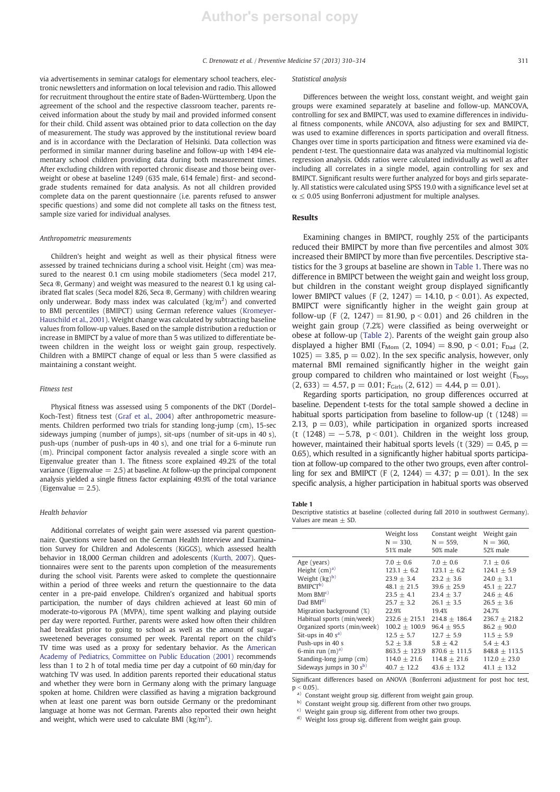#### *C. Drenowatz et al. / Preventive Medicine 57 (2013) 310*–*314* 311

tronic newsletters and information on local television and radio. This allowed for recruitment throughout the entire state of Baden-Württemberg. Upon the agreement of the school and the respective classroom teacher, parents received information about the study by mail and provided informed consent for their child. Child assent was obtained prior to data collection on the day of measurement. The study was approved by the institutional review board and is in accordance with the Declaration of Helsinki. Data collection was performed in similar manner during baseline and follow-up with 1494 elementary school children providing data during both measurement times. After excluding children with reported chronic disease and those being overweight or obese at baseline 1249 (635 male, 614 female) first- and secondgrade students remained for data analysis. As not all children provided complete data on the parent questionnaire (i.e. parents refused to answer specific questions) and some did not complete all tasks on the fitness test, sample size varied for individual analyses.

via advertisements in seminar catalogs for elementary school teachers, elec-

#### *Anthropometric measurements*

Children's height and weight as well as their physical fitness were assessed by trained technicians during a school visit. Height (cm) was measured to the nearest 0.1 cm using mobile stadiometers (Seca model 217, Seca ®, Germany) and weight was measured to the nearest 0.1 kg using calibrated flat scales (Seca model 826, Seca ®, Germany) with children wearing only underwear. Body mass index was calculated  $\text{(kg/m}^2)$  and converted to BMI percentiles (BMIPCT) using German reference values (Kromeyer-Hauschild et al., 2001). Weight change was calculated by subtracting baseline values from follow-up values. Based on the sample distribution a reduction or increase in BMIPCT by a value of more than 5 was utilized to differentiate between children in the weight loss or weight gain group, respectively. Children with a BMIPCT change of equal or less than 5 were classified as maintaining a constant weight.

#### *Fitness test*

Physical fitness was assessed using 5 components of the DKT (Dordel– Koch-Test) fitness test (Graf et al., 2004) after anthropometric measurements. Children performed two trials for standing long-jump (cm), 15-sec sideways jumping (number of jumps), sit-ups (number of sit-ups in 40 s), push-ups (number of push-ups in 40 s), and one trial for a 6-minute run (m). Principal component factor analysis revealed a single score with an Eigenvalue greater than 1. The fitness score explained 49.2% of the total variance (Eigenvalue  $= 2.5$ ) at baseline. At follow-up the principal component analysis yielded a single fitness factor explaining 49.9% of the total variance (Eigenvalue  $= 2.5$ ).

#### *Health behavior*

Additional correlates of weight gain were assessed via parent questionnaire. Questions were based on the German Health Interview and Examination Survey for Children and Adolescents (KiGGS), which assessed health behavior in 18,000 German children and adolescents (Kurth, 2007). Questionnaires were sent to the parents upon completion of the measurements during the school visit. Parents were asked to complete the questionnaire within a period of three weeks and return the questionnaire to the data center in a pre-paid envelope. Children's organized and habitual sports participation, the number of days children achieved at least 60 min of moderate-to-vigorous PA (MVPA), time spent walking and playing outside per day were reported. Further, parents were asked how often their children had breakfast prior to going to school as well as the amount of sugarsweetened beverages consumed per week. Parental report on the child's TV time was used as a proxy for sedentary behavior. As the American Academy of Pediatrics, Committee on Public Education (2001) recommends less than 1 to 2 h of total media time per day a cutpoint of 60 min/day for watching TV was used. In addition parents reported their educational status and whether they were born in Germany along with the primary language spoken at home. Children were classified as having a migration background when at least one parent was born outside Germany or the predominant language at home was not German. Parents also reported their own height and weight, which were used to calculate BMI ( $\text{kg/m}^2$ ).

Differences between the weight loss, constant weight, and weight gain groups were examined separately at baseline and follow-up. MANCOVA, controlling for sex and BMIPCT, was used to examine differences in individual fitness components, while ANCOVA, also adjusting for sex and BMIPCT, was used to examine differences in sports participation and overall fitness. Changes over time in sports participation and fitness were examined via dependent *t*-test. The questionnaire data was analyzed via multinomial logistic regression analysis. Odds ratios were calculated individually as well as after including all correlates in a single model, again controlling for sex and BMIPCT. Significant results were further analyzed for boys and girls separately. All statistics were calculated using SPSS 19.0 with a significance level set at  $\alpha \leq 0.05$  using Bonferroni adjustment for multiple analyses.

#### Results

Examining changes in BMIPCT, roughly 25% of the participants reduced their BMIPCT by more than five percentiles and almost 30% increased their BMIPCT by more than five percentiles. Descriptive statistics for the 3 groups at baseline are shown in Table 1. There was no difference in BMIPCT between the weight gain and weight loss group, but children in the constant weight group displayed significantly lower BMIPCT values (F  $(2, 1247) = 14.10$ ,  $p < 0.01$ ). As expected, BMIPCT were significantly higher in the weight gain group at follow-up (F  $(2, 1247) = 81.90$ ,  $p < 0.01$ ) and 26 children in the weight gain group (7.2%) were classified as being overweight or obese at follow-up (Table 2). Parents of the weight gain group also displayed a higher BMI ( $F_{Mom}$  (2, 1094) = 8.90, p < 0.01;  $F_{Dad}$  (2,  $1025$ ) = 3.85, p = 0.02). In the sex specific analysis, however, only maternal BMI remained significantly higher in the weight gain group compared to children who maintained or lost weight ( $F_{\text{boys}}$ )  $(2, 633) = 4.57$ ,  $p = 0.01$ ;  $F_{\text{Girls}}(2, 612) = 4.44$ ,  $p = 0.01$ ).

Regarding sports participation, no group differences occurred at baseline. Dependent t-tests for the total sample showed a decline in habitual sports participation from baseline to follow-up (t  $(1248)$  = 2.13,  $p = 0.03$ ), while participation in organized sports increased (t (1248) =  $-5.78$ , p < 0.01). Children in the weight loss group, however, maintained their habitual sports levels (t  $(329) = 0.45$ , p = 0.65), which resulted in a significantly higher habitual sports participation at follow-up compared to the other two groups, even after controlling for sex and BMIPCT (F (2, 1244) = 4.37;  $p = 0.01$ ). In the sex specific analysis, a higher participation in habitual sports was observed

#### Table 1

Descriptive statistics at baseline (collected during fall 2010 in southwest Germany). Values are mean  $\pm$  SD.

|                             | Weight loss     | Constant weight | Weight gain     |
|-----------------------------|-----------------|-----------------|-----------------|
|                             | $N = 330.$      | $N = 559$ .     | $N = 360.$      |
|                             | 51% male        | 50% male        | 52% male        |
| Age (years)                 | $7.0 + 0.6$     | $7.0 + 0.6$     | $7.1 + 0.6$     |
| Height $(cm)a$              | $123.1 + 6.2$   | $123.1 + 6.2$   | $124.1 + 5.9$   |
| Weight $(kg)^b$             | $23.9 + 3.4$    | $23.2 + 3.6$    | $24.0 \pm 3.1$  |
| BMIPCT <sup>b</sup>         | $48.1 + 21.5$   | $39.6 + 25.9$   | $45.1 + 22.7$   |
| Mom $BMc$                   | $23.5 + 4.1$    | $23.4 + 3.7$    | $24.6 + 4.6$    |
| Dad BMI <sup>d</sup>        | $25.7 + 3.2$    | $26.1 + 3.5$    | $26.5 + 3.6$    |
| Migration background (%)    | 22.9%           | 19.4%           | 24.7%           |
| Habitual sports (min/week)  | $232.6 + 215.1$ | $214.8 + 186.4$ | $236.7 + 218.2$ |
| Organized sports (min/week) | $100.2 + 100.9$ | $96.4 + 95.5$   | $86.2 + 90.0$   |
| Sit-ups in 40 $sa$ )        | $12.5 + 5.7$    | $12.7 + 5.9$    | $11.5 + 5.9$    |
| Push-ups in 40 s            | $5.2 + 3.8$     | $5.8 + 4.2$     | $5.4 \pm 4.3$   |
| 6-min run $(m)a$            | $863.5 + 123.9$ | $870.6 + 111.5$ | $848.8 + 113.5$ |
| Standing-long jump (cm)     | $114.0 + 21.6$  | $114.8 + 21.6$  | $112.0 + 23.0$  |
| Sideways jumps in 30 $sb$   | $40.7 + 12.2$   | $43.6 + 13.2$   | $41.1 + 13.2$   |

Significant differences based on ANOVA (Bonferroni adjustment for post hoc test,  $p < 0.05$ 

a) Constant weight group sig. different from weight gain group.<br>b) Constant weight group sig. different from other two groups.

Constant weight group sig. different from other two groups.

c) Weight gain group sig. different from other two groups.

d) Weight loss group sig. different from weight gain group.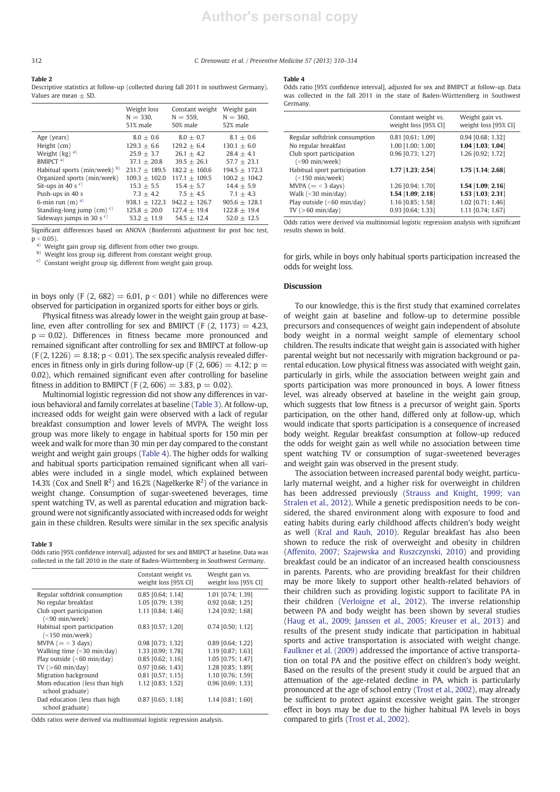#### 312 *C. Drenowatz et al. / Preventive Medicine 57 (2013) 310*–*314*

### Table 2

Descriptive statistics at follow-up (collected during fall 2011 in southwest Germany). Values are mean  $+$  SD.

|                                    | Weight loss<br>$N = 330.$<br>51% male | Constant weight<br>$N = 559$ .<br>50% male | Weight gain<br>$N = 360.$<br>52% male |
|------------------------------------|---------------------------------------|--------------------------------------------|---------------------------------------|
| Age (years)                        | $8.0 + 0.6$                           | $8.0 + 0.7$                                | $8.1 + 0.6$                           |
| Height (cm)                        | $129.3 + 6.6$                         | $129.2 \pm 6.4$                            | $130.1 + 6.0$                         |
| Weight $(kg)^a$                    | $25.9 + 3.7$                          | $26.1 + 4.2$                               | $28.4 + 4.1$                          |
| BMIPCT <sup>a)</sup>               | $37.1 + 20.8$                         | $39.5 + 26.1$                              | $57.7 + 23.1$                         |
| Habitual sports (min/week) $b$ )   | $231.7 + 189.5$                       | $182.2 \pm 160.6$                          | $194.5 + 172.3$                       |
| Organized sports (min/week)        | $109.3 + 102.0$                       | $117.1 + 109.5$                            | $100.2 + 104.2$                       |
| Sit-ups in 40 s $c$ )              | $15.3 + 5.5$                          | $15.4 + 5.7$                               | $14.4 + 5.9$                          |
| Push-ups in 40 s                   | $7.3 + 4.2$                           | $7.5 + 4.5$                                | $7.1 + 4.3$                           |
| 6-min run $(m)$ <sup>a)</sup>      | $938.1 + 122.3$                       | $942.2 + 126.7$                            | $905.6 \pm 128.1$                     |
| Standing-long jump (cm) $c$ )      | $125.8 + 20.0$                        | $127.4 + 19.4$                             | $122.8 + 19.4$                        |
| Sideways jumps in 30 s $\degree$ ) | $53.2 + 11.9$                         | $54.5 + 12.4$                              | $52.0 + 12.5$                         |

Significant differences based on ANOVA (Bonferroni adjustment for post hoc test,  $p < 0.05$ ).

Weight gain group sig. different from other two groups.

b) Weight loss group sig. different from constant weight group.

<sup>c)</sup> Constant weight group sig. different from weight gain group.

in boys only (F  $(2, 682) = 6.01$ ,  $p < 0.01$ ) while no differences were observed for participation in organized sports for either boys or girls.

Physical fitness was already lower in the weight gain group at baseline, even after controlling for sex and BMIPCT (F  $(2, 1173) = 4.23$ ,  $p = 0.02$ ). Differences in fitness became more pronounced and remained significant after controlling for sex and BMIPCT at follow-up  $(F (2, 1226) = 8.18; p < 0.01)$ . The sex specific analysis revealed differences in fitness only in girls during follow-up (F (2, 606) = 4.12;  $p =$ 0.02), which remained significant even after controlling for baseline fitness in addition to BMIPCT (F  $(2, 606) = 3.83$ , p = 0.02).

Multinomial logistic regression did not show any differences in various behavioral and family correlates at baseline (Table 3). At follow-up, increased odds for weight gain were observed with a lack of regular breakfast consumption and lower levels of MVPA. The weight loss group was more likely to engage in habitual sports for 150 min per week and walk for more than 30 min per day compared to the constant weight and weight gain groups (Table 4). The higher odds for walking and habitual sports participation remained significant when all variables were included in a single model, which explained between 14.3% (Cox and Snell  $\mathbb{R}^2$ ) and 16.2% (Nagelkerke  $\mathbb{R}^2$ ) of the variance in weight change. Consumption of sugar-sweetened beverages, time spent watching TV, as well as parental education and migration background were not significantly associated with increased odds for weight gain in these children. Results were similar in the sex specific analysis

#### Table 3

Odds ratio [95% confidence interval], adjusted for sex and BMIPCT at baseline. Data was collected in the fall 2010 in the state of Baden-Württemberg in Southwest Germany.

|                                                       | Constant weight vs.<br>weight loss [95% CI] | Weight gain vs.<br>weight loss [95% CI]  |
|-------------------------------------------------------|---------------------------------------------|------------------------------------------|
| Regular softdrink consumption<br>No regular breakfast | $0.85$ [0.64; 1.14]<br>1.05 [0.79; 1.39]    | 1.01 [0.74; 1.39]<br>$0.92$ [0.68; 1.25] |
| Club sport participation<br>$(< 90$ min/week)         | 1.11 [0.84; 1.46]                           | 1.24 [0.92; 1.68]                        |
| Habitual sport participation<br>$(<150$ min/week)     | $0.83$ [0.57; 1.20]                         | $0.74$ [0.50; 1.12]                      |
| MVPA $( = < 3$ days)                                  | $0.98$ [0.73; 1.32]                         | $0.89$ [0.64; 1.22]                      |
| Walking time $\left( < 30 \right)$ min/day)           | 1.33 [0.99; 1.78]                           | 1.19 [0.87; 1.63]                        |
| Play outside $(<60 \text{ min/day})$                  | $0.85$ [0.62; 1.16]                         | 1.05 [0.75; 1.47]                        |
| TV $(>60 \text{ min/day})$                            | $0.97$ [0.66; 1.43]                         | 1.28 [0.85; 1.89]                        |
| Migration background                                  | $0.81$ [0.57; 1.15]                         | 1.10 [0.76; 1.59]                        |
| Mom education (less than high<br>school graduate)     | 1.12 [0.83; 1.52]                           | $0.96$ $[0.69; 1.33]$                    |
| Dad education (less than high<br>school graduate)     | $0.87$ [0.65; 1.18]                         | 1.14 [0.81; 1.60]                        |

Odds ratios were derived via multinomial logistic regression analysis.

#### Table 4

Odds ratio [95% confidence interval], adjusted for sex and BMIPCT at follow-up. Data was collected in the fall 2011 in the state of Baden-Württemberg in Southwest Germany.

|                                                                                                                     | Constant weight vs.<br>weight loss [95% CI]                                        | Weight gain vs.<br>weight loss [95% CI]                                              |
|---------------------------------------------------------------------------------------------------------------------|------------------------------------------------------------------------------------|--------------------------------------------------------------------------------------|
| Regular softdrink consumption<br>No regular breakfast<br>Club sport participation<br>$(< 90$ min/week)              | $0.81$ [0.61; 1.09]<br>1.00 [1.00; 1.00]<br>$0.96$ [0.73; 1.27]                    | $0.94$ [0.68; 1.32]<br>$1.04$ [1.03; 1.04]<br>1.26 [0.92; 1.72]                      |
| Habitual sport participation<br>$(<150$ min/week)                                                                   | $1.77$ [1.23; 2.54]                                                                | $1.75$ [1.14; 2.68]                                                                  |
| MVPA $( = < 3$ days)<br>Walk $(<$ 30 min/day)<br>Play outside $(<60 \text{ min/day})$<br>TV $(>60 \text{ min/day})$ | 1.26 [0.94; 1.70]<br>$1.54$ [1.09; 2.18]<br>1.16 [0.85; 1.58]<br>0.93 [0.64; 1.33] | $1.54$ [1.09; 2.16]<br>$1.53$ [1.03; 2.31]<br>1.02 [0.71; 1.46]<br>1.11 [0.74; 1.67] |

Odds ratios were derived via multinomial logistic regression analysis with significant results shown in bold.

for girls, while in boys only habitual sports participation increased the odds for weight loss.

#### Discussion

To our knowledge, this is the first study that examined correlates of weight gain at baseline and follow-up to determine possible precursors and consequences of weight gain independent of absolute body weight in a normal weight sample of elementary school children. The results indicate that weight gain is associated with higher parental weight but not necessarily with migration background or parental education. Low physical fitness was associated with weight gain, particularly in girls, while the association between weight gain and sports participation was more pronounced in boys. A lower fitness level, was already observed at baseline in the weight gain group, which suggests that low fitness is a precursor of weight gain. Sports participation, on the other hand, differed only at follow-up, which would indicate that sports participation is a consequence of increased body weight. Regular breakfast consumption at follow-up reduced the odds for weight gain as well while no association between time spent watching TV or consumption of sugar-sweetened beverages and weight gain was observed in the present study.

The association between increased parental body weight, particularly maternal weight, and a higher risk for overweight in children has been addressed previously (Strauss and Knight, 1999; van Stralen et al., 2012). While a genetic predisposition needs to be considered, the shared environment along with exposure to food and eating habits during early childhood affects children's body weight as well (Kral and Rauh, 2010). Regular breakfast has also been shown to reduce the risk of overweight and obesity in children (Affenito, 2007; Szajewska and Ruszczynski, 2010) and providing breakfast could be an indicator of an increased health consciousness in parents. Parents, who are providing breakfast for their children may be more likely to support other health-related behaviors of their children such as providing logistic support to facilitate PA in their children (Verloigne et al., 2012). The inverse relationship between PA and body weight has been shown by several studies (Haug et al., 2009; Janssen et al., 2005; Kreuser et al., 2013) and results of the present study indicate that participation in habitual sports and active transportation is associated with weight change. Faulkner et al. (2009) addressed the importance of active transportation on total PA and the positive effect on children's body weight. Based on the results of the present study it could be argued that an attenuation of the age-related decline in PA, which is particularly pronounced at the age of school entry (Trost et al., 2002), may already be sufficient to protect against excessive weight gain. The stronger effect in boys may be due to the higher habitual PA levels in boys compared to girls (Trost et al., 2002).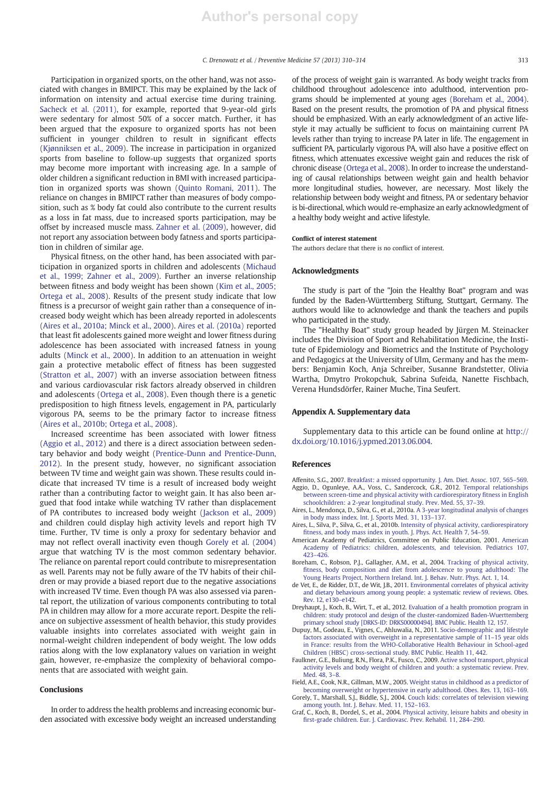Participation in organized sports, on the other hand, was not associated with changes in BMIPCT. This may be explained by the lack of information on intensity and actual exercise time during training. Sacheck et al. (2011), for example, reported that 9-year-old girls were sedentary for almost 50% of a soccer match. Further, it has been argued that the exposure to organized sports has not been sufficient in younger children to result in significant effects (Kjønniksen et al., 2009). The increase in participation in organized sports from baseline to follow-up suggests that organized sports may become more important with increasing age. In a sample of older children a significant reduction in BMI with increased participation in organized sports was shown (Quinto Romani, 2011). The reliance on changes in BMIPCT rather than measures of body composition, such as % body fat could also contribute to the current results as a loss in fat mass, due to increased sports participation, may be offset by increased muscle mass. Zahner et al. (2009), however, did not report any association between body fatness and sports participation in children of similar age.

Physical fitness, on the other hand, has been associated with participation in organized sports in children and adolescents (Michaud et al., 1999; Zahner et al., 2009). Further an inverse relationship between fitness and body weight has been shown (Kim et al., 2005; Ortega et al., 2008). Results of the present study indicate that low fitness is a precursor of weight gain rather than a consequence of increased body weight which has been already reported in adolescents (Aires et al., 2010a; Minck et al., 2000). Aires et al. (2010a) reported that least fit adolescents gained more weight and lower fitness during adolescence has been associated with increased fatness in young adults (Minck et al., 2000). In addition to an attenuation in weight gain a protective metabolic effect of fitness has been suggested (Stratton et al., 2007) with an inverse association between fitness and various cardiovascular risk factors already observed in children and adolescents (Ortega et al., 2008). Even though there is a genetic predisposition to high fitness levels, engagement in PA, particularly vigorous PA, seems to be the primary factor to increase fitness (Aires et al., 2010b; Ortega et al., 2008).

Increased screentime has been associated with lower fitness (Aggio et al., 2012) and there is a direct association between sedentary behavior and body weight (Prentice-Dunn and Prentice-Dunn, 2012). In the present study, however, no significant association between TV time and weight gain was shown. These results could indicate that increased TV time is a result of increased body weight rather than a contributing factor to weight gain. It has also been argued that food intake while watching TV rather than displacement of PA contributes to increased body weight (Jackson et al., 2009) and children could display high activity levels and report high TV time. Further, TV time is only a proxy for sedentary behavior and may not reflect overall inactivity even though Gorely et al. (2004) argue that watching TV is the most common sedentary behavior. The reliance on parental report could contribute to misrepresentation as well. Parents may not be fully aware of the TV habits of their children or may provide a biased report due to the negative associations with increased TV time. Even though PA was also assessed via parental report, the utilization of various components contributing to total PA in children may allow for a more accurate report. Despite the reliance on subjective assessment of health behavior, this study provides valuable insights into correlates associated with weight gain in normal-weight children independent of body weight. The low odds ratios along with the low explanatory values on variation in weight gain, however, re-emphasize the complexity of behavioral components that are associated with weight gain.

#### Conclusions

In order to address the health problems and increasing economic burden associated with excessive body weight an increased understanding of the process of weight gain is warranted. As body weight tracks from childhood throughout adolescence into adulthood, intervention programs should be implemented at young ages (Boreham et al., 2004). Based on the present results, the promotion of PA and physical fitness should be emphasized. With an early acknowledgment of an active lifestyle it may actually be sufficient to focus on maintaining current PA levels rather than trying to increase PA later in life. The engagement in sufficient PA, particularly vigorous PA, will also have a positive effect on fitness, which attenuates excessive weight gain and reduces the risk of chronic disease (Ortega et al., 2008). In order to increase the understanding of causal relationships between weight gain and health behavior more longitudinal studies, however, are necessary. Most likely the relationship between body weight and fitness, PA or sedentary behavior is bi-directional, which would re-emphasize an early acknowledgment of a healthy body weight and active lifestyle.

#### Conflict of interest statement

The authors declare that there is no conflict of interest.

#### Acknowledgments

The study is part of the "Join the Healthy Boat" program and was funded by the Baden-Württemberg Stiftung, Stuttgart, Germany. The authors would like to acknowledge and thank the teachers and pupils who participated in the study.

The "Healthy Boat" study group headed by Jürgen M. Steinacker includes the Division of Sport and Rehabilitation Medicine, the Institute of Epidemiology and Biometrics and the Institute of Psychology and Pedagogics at the University of Ulm, Germany and has the members: Benjamin Koch, Anja Schreiber, Susanne Brandstetter, Olivia Wartha, Dmytro Prokopchuk, Sabrina Sufeida, Nanette Fischbach, Verena Hundsdörfer, Rainer Muche, Tina Seufert.

#### Appendix A. Supplementary data

Supplementary data to this article can be found online at http:// dx.doi.org/10.1016/j.ypmed.2013.06.004.

#### References

- Affenito, S.G., 2007. Breakfast: a missed opportunity. J. Am. Diet. Assoc. 107, 565–569. Aggio, D., Ogunleye, A.A., Voss, C., Sandercock, G.R., 2012. Temporal relationships between screen-time and physical activity with cardiorespiratory fitness in English
- schoolchildren: a 2-year longitudinal study. Prev. Med. 55, 37–39. Aires, L., Mendonça, D., Silva, G., et al., 2010a. A 3-year longitudinal analysis of changes
- in body mass index. Int. J. Sports Med. 31, 133–137. Aires, L., Silva, P., Silva, G., et al., 2010b. Intensity of physical activity, cardiorespiratory fitness, and body mass index in youth. J. Phys. Act. Health 7, 54–59.
- American Academy of Pediatrics, Committee on Public Education, 2001. American Academy of Pediatrics: children, adolescents, and television. Pediatrics 107, 423–426.
- Boreham, C., Robson, P.J., Gallagher, A.M., et al., 2004. Tracking of physical activity, fitness, body composition and diet from adolescence to young adulthood: The Young Hearts Project, Northern Ireland. Int. J. Behav. Nutr. Phys. Act. 1, 14.
- de Vet, E., de Ridder, D.T., de Wit, J.B., 2011. Environmental correlates of physical activity and dietary behaviours among young people: a systematic review of reviews. Obes. Rev. 12, e130–e142.
- Dreyhaupt, J., Koch, B., Wirt, T., et al., 2012. Evaluation of a health promotion program in children: study protocol and design of the cluster-randomized Baden-Wuerttemberg primary school study [DRKS-ID: DRKS00000494]. BMC Public. Health 12, 157.
- Dupuy, M., Godeau, E., Vignes, C., Ahluwalia, N., 2011. Socio-demographic and lifestyle factors associated with overweight in a representative sample of 11–15 year olds in France: results from the WHO-Collaborative Health Behaviour in School-aged Children (HBSC) cross-sectional study. BMC Public. Health 11, 442.
- Faulkner, G.E., Buliung, R.N., Flora, P.K., Fusco, C., 2009. Active school transport, physical activity levels and body weight of children and youth: a systematic review. Prev. Med. 48, 3–8.
- Field, A.E., Cook, N.R., Gillman, M.W., 2005. Weight status in childhood as a predictor of becoming overweight or hypertensive in early adulthood. Obes. Res. 13, 163–169.
- Gorely, T., Marshall, S.J., Biddle, S.J., 2004. Couch kids: correlates of television viewing among youth. Int. J. Behav. Med. 11, 152–163.
- Graf, C., Koch, B., Dordel, S., et al., 2004. Physical activity, leisure habits and obesity in first-grade children. Eur. J. Cardiovasc. Prev. Rehabil. 11, 284–290.